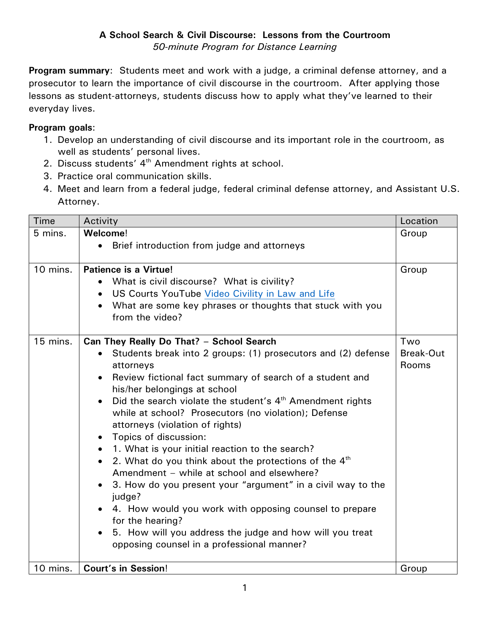**Program summary**: Students meet and work with a judge, a criminal defense attorney, and a prosecutor to learn the importance of civil discourse in the courtroom. After applying those lessons as student-attorneys, students discuss how to apply what they've learned to their everyday lives.

## **Program goals**:

- 1. Develop an understanding of civil discourse and its important role in the courtroom, as well as students' personal lives.
- 2. Discuss students' 4<sup>th</sup> Amendment rights at school.
- 3. Practice oral communication skills.
- 4. Meet and learn from a federal judge, federal criminal defense attorney, and Assistant U.S. Attorney.

| Time     | Activity                                                                                                                                                                                                                                                                                                                                                                                                                                                                                                                                                                                                                                                                                                                                                                                                                                                                                                         | Location                         |
|----------|------------------------------------------------------------------------------------------------------------------------------------------------------------------------------------------------------------------------------------------------------------------------------------------------------------------------------------------------------------------------------------------------------------------------------------------------------------------------------------------------------------------------------------------------------------------------------------------------------------------------------------------------------------------------------------------------------------------------------------------------------------------------------------------------------------------------------------------------------------------------------------------------------------------|----------------------------------|
| 5 mins.  | Welcome!                                                                                                                                                                                                                                                                                                                                                                                                                                                                                                                                                                                                                                                                                                                                                                                                                                                                                                         | Group                            |
|          | Brief introduction from judge and attorneys<br>$\bullet$                                                                                                                                                                                                                                                                                                                                                                                                                                                                                                                                                                                                                                                                                                                                                                                                                                                         |                                  |
| 10 mins. | <b>Patience is a Virtue!</b><br>What is civil discourse? What is civility?<br>$\bullet$<br>US Courts YouTube Video Civility in Law and Life<br>$\bullet$<br>What are some key phrases or thoughts that stuck with you<br>from the video?                                                                                                                                                                                                                                                                                                                                                                                                                                                                                                                                                                                                                                                                         | Group                            |
| 15 mins. | Can They Really Do That? - School Search<br>Students break into 2 groups: (1) prosecutors and (2) defense<br>attorneys<br>Review fictional fact summary of search of a student and<br>$\bullet$<br>his/her belongings at school<br>Did the search violate the student's $4th$ Amendment rights<br>$\bullet$<br>while at school? Prosecutors (no violation); Defense<br>attorneys (violation of rights)<br>Topics of discussion:<br>$\bullet$<br>1. What is your initial reaction to the search?<br>$\bullet$<br>2. What do you think about the protections of the $4th$<br>$\bullet$<br>Amendment - while at school and elsewhere?<br>3. How do you present your "argument" in a civil way to the<br>judge?<br>4. How would you work with opposing counsel to prepare<br>for the hearing?<br>5. How will you address the judge and how will you treat<br>$\bullet$<br>opposing counsel in a professional manner? | Two<br><b>Break-Out</b><br>Rooms |
| 10 mins. | <b>Court's in Session!</b>                                                                                                                                                                                                                                                                                                                                                                                                                                                                                                                                                                                                                                                                                                                                                                                                                                                                                       | Group                            |